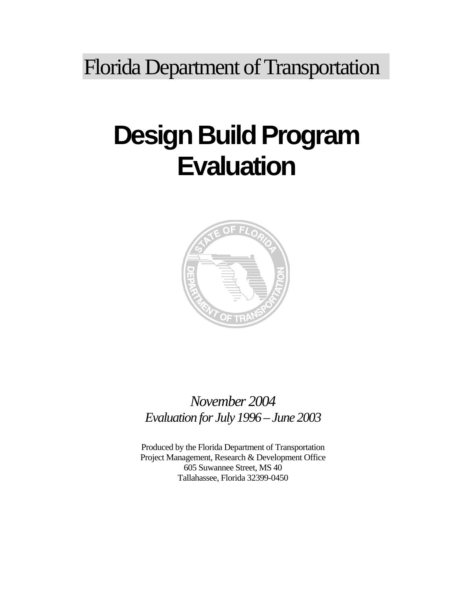Florida Department of Transportation

# **Design Build Program Evaluation**



## *November 2004 Evaluation for July 1996 – June 2003*

Produced by the Florida Department of Transportation Project Management, Research & Development Office 605 Suwannee Street, MS 40 Tallahassee, Florida 32399-0450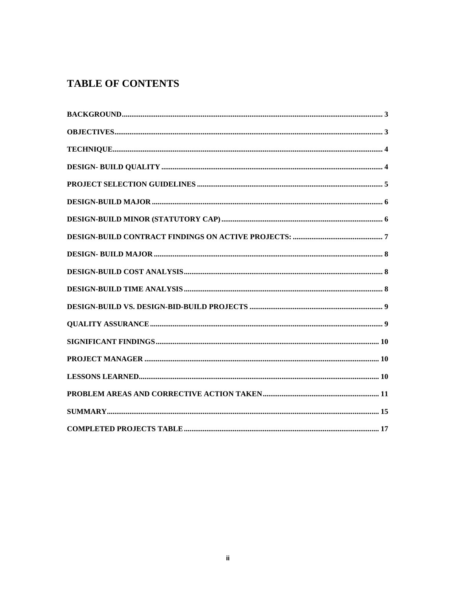### **TABLE OF CONTENTS**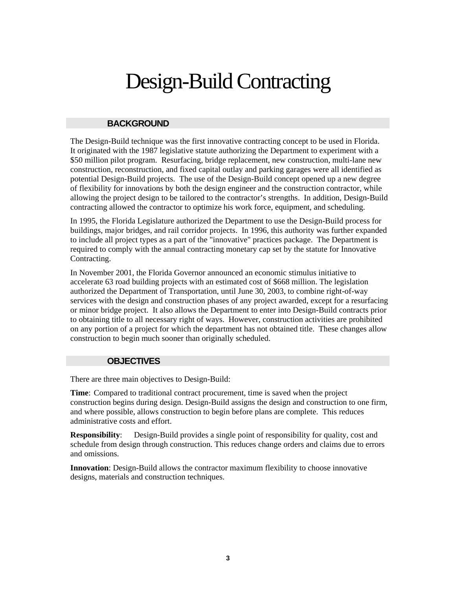## Design-Build Contracting

#### **BACKGROUND**

The Design-Build technique was the first innovative contracting concept to be used in Florida. It originated with the 1987 legislative statute authorizing the Department to experiment with a \$50 million pilot program. Resurfacing, bridge replacement, new construction, multi-lane new construction, reconstruction, and fixed capital outlay and parking garages were all identified as potential Design-Build projects. The use of the Design-Build concept opened up a new degree of flexibility for innovations by both the design engineer and the construction contractor, while allowing the project design to be tailored to the contractor's strengths. In addition, Design-Build contracting allowed the contractor to optimize his work force, equipment, and scheduling.

In 1995, the Florida Legislature authorized the Department to use the Design-Build process for buildings, major bridges, and rail corridor projects. In 1996, this authority was further expanded to include all project types as a part of the "innovative" practices package. The Department is required to comply with the annual contracting monetary cap set by the statute for Innovative Contracting.

In November 2001, the Florida Governor announced an economic stimulus initiative to accelerate 63 road building projects with an estimated cost of \$668 million. The legislation authorized the Department of Transportation, until June 30, 2003, to combine right-of-way services with the design and construction phases of any project awarded, except for a resurfacing or minor bridge project. It also allows the Department to enter into Design-Build contracts prior to obtaining title to all necessary right of ways. However, construction activities are prohibited on any portion of a project for which the department has not obtained title. These changes allow construction to begin much sooner than originally scheduled.

#### **OBJECTIVES**

There are three main objectives to Design-Build:

**Time**: Compared to traditional contract procurement, time is saved when the project construction begins during design. Design-Build assigns the design and construction to one firm, and where possible, allows construction to begin before plans are complete. This reduces administrative costs and effort.

**Responsibility:** Design-Build provides a single point of responsibility for quality, cost and schedule from design through construction. This reduces change orders and claims due to errors and omissions.

**Innovation**: Design-Build allows the contractor maximum flexibility to choose innovative designs, materials and construction techniques.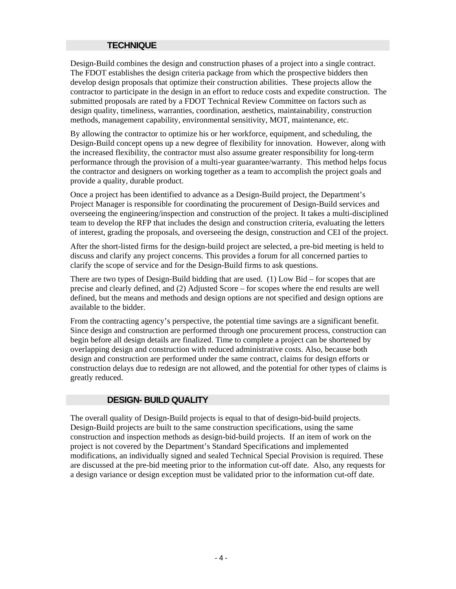#### **TECHNIQUE**

Design-Build combines the design and construction phases of a project into a single contract. The FDOT establishes the design criteria package from which the prospective bidders then develop design proposals that optimize their construction abilities. These projects allow the contractor to participate in the design in an effort to reduce costs and expedite construction. The submitted proposals are rated by a FDOT Technical Review Committee on factors such as design quality, timeliness, warranties, coordination, aesthetics, maintainability, construction methods, management capability, environmental sensitivity, MOT, maintenance, etc.

By allowing the contractor to optimize his or her workforce, equipment, and scheduling, the Design-Build concept opens up a new degree of flexibility for innovation. However, along with the increased flexibility, the contractor must also assume greater responsibility for long-term performance through the provision of a multi-year guarantee/warranty. This method helps focus the contractor and designers on working together as a team to accomplish the project goals and provide a quality, durable product.

Once a project has been identified to advance as a Design-Build project, the Department's Project Manager is responsible for coordinating the procurement of Design-Build services and overseeing the engineering/inspection and construction of the project. It takes a multi-disciplined team to develop the RFP that includes the design and construction criteria, evaluating the letters of interest, grading the proposals, and overseeing the design, construction and CEI of the project.

After the short-listed firms for the design-build project are selected, a pre-bid meeting is held to discuss and clarify any project concerns. This provides a forum for all concerned parties to clarify the scope of service and for the Design-Build firms to ask questions.

There are two types of Design-Build bidding that are used. (1) Low Bid – for scopes that are precise and clearly defined, and (2) Adjusted Score – for scopes where the end results are well defined, but the means and methods and design options are not specified and design options are available to the bidder.

From the contracting agency's perspective, the potential time savings are a significant benefit. Since design and construction are performed through one procurement process, construction can begin before all design details are finalized. Time to complete a project can be shortened by overlapping design and construction with reduced administrative costs. Also, because both design and construction are performed under the same contract, claims for design efforts or construction delays due to redesign are not allowed, and the potential for other types of claims is greatly reduced.

#### **DESIGN- BUILD QUALITY**

The overall quality of Design-Build projects is equal to that of design-bid-build projects. Design-Build projects are built to the same construction specifications, using the same construction and inspection methods as design-bid-build projects. If an item of work on the project is not covered by the Department's Standard Specifications and implemented modifications, an individually signed and sealed Technical Special Provision is required. These are discussed at the pre-bid meeting prior to the information cut-off date. Also, any requests for a design variance or design exception must be validated prior to the information cut-off date.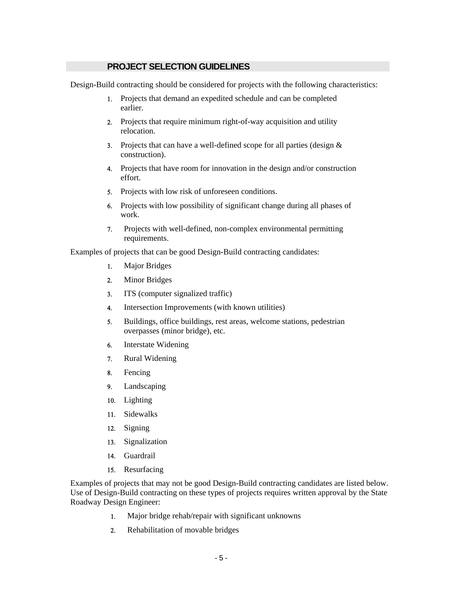#### **PROJECT SELECTION GUIDELINES**

Design-Build contracting should be considered for projects with the following characteristics:

- 1. Projects that demand an expedited schedule and can be completed earlier.
- 2. Projects that require minimum right-of-way acquisition and utility relocation.
- 3. Projects that can have a well-defined scope for all parties (design & construction).
- 4. Projects that have room for innovation in the design and/or construction effort.
- 5. Projects with low risk of unforeseen conditions.
- 6. Projects with low possibility of significant change during all phases of work.
- 7. Projects with well-defined, non-complex environmental permitting requirements.

Examples of projects that can be good Design-Build contracting candidates:

- 1. Major Bridges
- 2. Minor Bridges
- 3. ITS (computer signalized traffic)
- 4. Intersection Improvements (with known utilities)
- 5. Buildings, office buildings, rest areas, welcome stations, pedestrian overpasses (minor bridge), etc.
- 6. Interstate Widening
- 7. Rural Widening
- 8. Fencing
- 9. Landscaping
- 10. Lighting
- 11. Sidewalks
- 12. Signing
- 13. Signalization
- 14. Guardrail
- 15. Resurfacing

Examples of projects that may not be good Design-Build contracting candidates are listed below. Use of Design-Build contracting on these types of projects requires written approval by the State Roadway Design Engineer:

- 1. Major bridge rehab/repair with significant unknowns
- 2. Rehabilitation of movable bridges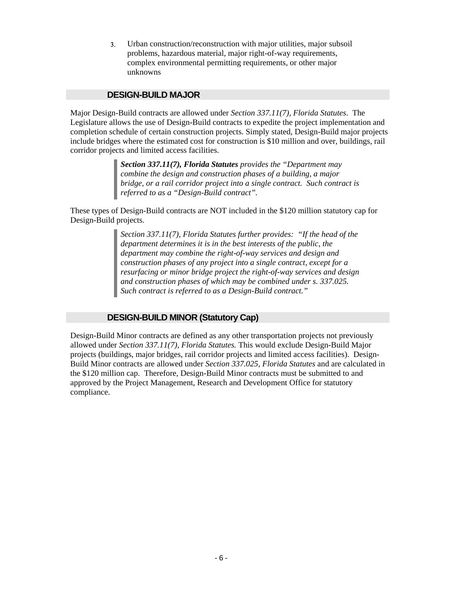3. Urban construction/reconstruction with major utilities, major subsoil problems, hazardous material, major right-of-way requirements, complex environmental permitting requirements, or other major unknowns

#### **DESIGN-BUILD MAJOR**

Major Design-Build contracts are allowed under *Section 337.11(7), Florida Statutes*. The Legislature allows the use of Design-Build contracts to expedite the project implementation and completion schedule of certain construction projects. Simply stated, Design-Build major projects include bridges where the estimated cost for construction is \$10 million and over, buildings, rail corridor projects and limited access facilities.

> *Section 337.11(7), Florida Statutes provides the "Department may combine the design and construction phases of a building, a major bridge, or a rail corridor project into a single contract. Such contract is referred to as a "Design-Build contract".*

These types of Design-Build contracts are NOT included in the \$120 million statutory cap for Design-Build projects.

> *Section 337.11(7), Florida Statutes further provides: "If the head of the department determines it is in the best interests of the public, the department may combine the right-of-way services and design and construction phases of any project into a single contract, except for a resurfacing or minor bridge project the right-of-way services and design and construction phases of which may be combined under s. 337.025. Such contract is referred to as a Design-Build contract."*

#### **DESIGN-BUILD MINOR (Statutory Cap)**

Design-Build Minor contracts are defined as any other transportation projects not previously allowed under *Section 337.11(7), Florida Statutes.* This would exclude Design-Build Major projects (buildings, major bridges, rail corridor projects and limited access facilities). Design-Build Minor contracts are allowed under *Section 337.025, Florida Statutes* and are calculated in the \$120 million cap. Therefore, Design-Build Minor contracts must be submitted to and approved by the Project Management, Research and Development Office for statutory compliance.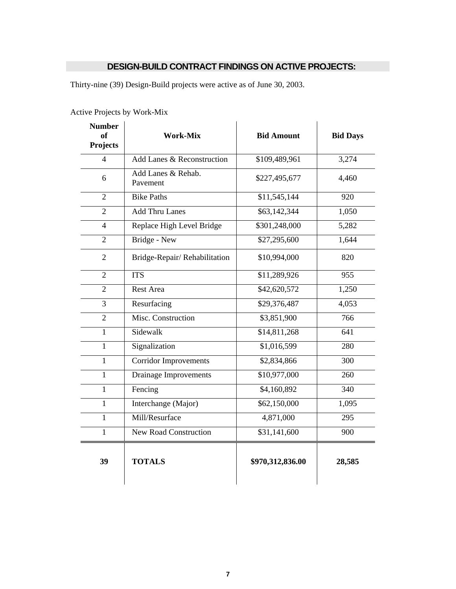#### **DESIGN-BUILD CONTRACT FINDINGS ON ACTIVE PROJECTS:**

Thirty-nine (39) Design-Build projects were active as of June 30, 2003.

| <b>Number</b><br><b>of</b><br><b>Projects</b> | <b>Work-Mix</b>                | <b>Bid Amount</b> | <b>Bid Days</b> |  |  |
|-----------------------------------------------|--------------------------------|-------------------|-----------------|--|--|
| $\overline{4}$                                | Add Lanes & Reconstruction     | \$109,489,961     | 3,274           |  |  |
| 6                                             | Add Lanes & Rehab.<br>Pavement | \$227,495,677     | 4,460           |  |  |
| $\overline{2}$                                | <b>Bike Paths</b>              | \$11,545,144      | 920             |  |  |
| $\overline{2}$                                | <b>Add Thru Lanes</b>          | \$63,142,344      | 1,050           |  |  |
| $\overline{\mathcal{L}}$                      | Replace High Level Bridge      | \$301,248,000     | 5,282           |  |  |
| $\overline{2}$                                | Bridge - New                   | \$27,295,600      | 1,644           |  |  |
| $\overline{2}$                                | Bridge-Repair/Rehabilitation   | \$10,994,000      | 820             |  |  |
| $\overline{2}$                                | <b>ITS</b>                     | \$11,289,926      | 955             |  |  |
| $\overline{2}$                                | <b>Rest Area</b>               | \$42,620,572      | 1,250           |  |  |
| 3                                             | Resurfacing                    | \$29,376,487      | 4,053           |  |  |
| $\overline{2}$                                | Misc. Construction             | \$3,851,900       | 766             |  |  |
| $\mathbf{1}$                                  | Sidewalk                       | \$14,811,268      | 641             |  |  |
| $\mathbf{1}$                                  | Signalization                  | \$1,016,599       | 280             |  |  |
| $\mathbf{1}$                                  | <b>Corridor Improvements</b>   | \$2,834,866       | 300             |  |  |
| $\mathbf{1}$                                  | <b>Drainage Improvements</b>   | \$10,977,000      | 260             |  |  |
| $\mathbf{1}$                                  | Fencing                        | \$4,160,892       | 340             |  |  |
| $\mathbf{1}$                                  | Interchange (Major)            | \$62,150,000      | 1,095           |  |  |
| $\mathbf{1}$                                  | Mill/Resurface                 | 4,871,000         | 295             |  |  |
| $\mathbf{1}$                                  | <b>New Road Construction</b>   | \$31,141,600      | 900             |  |  |
| 39                                            | <b>TOTALS</b>                  | \$970,312,836.00  | 28,585          |  |  |

Active Projects by Work-Mix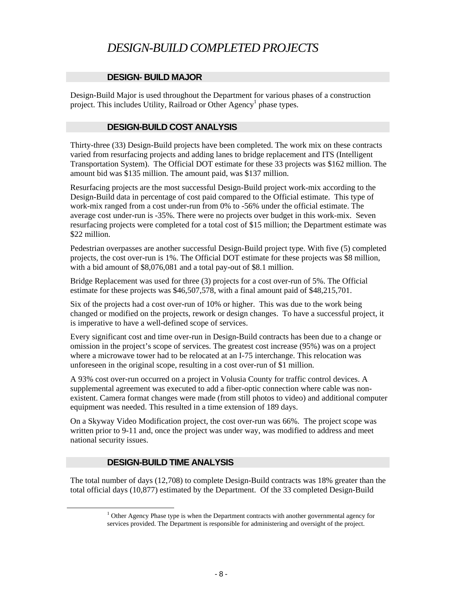## *DESIGN-BUILD COMPLETED PROJECTS*

#### **DESIGN- BUILD MAJOR**

Design-Build Major is used throughout the Department for various phases of a construction project. This includes Utility, Railroad or Other Agency<sup>1</sup> phase types.

#### **DESIGN-BUILD COST ANALYSIS**

Thirty-three (33) Design-Build projects have been completed. The work mix on these contracts varied from resurfacing projects and adding lanes to bridge replacement and ITS (Intelligent Transportation System). The Official DOT estimate for these 33 projects was \$162 million. The amount bid was \$135 million. The amount paid, was \$137 million.

Resurfacing projects are the most successful Design-Build project work-mix according to the Design-Build data in percentage of cost paid compared to the Official estimate. This type of work-mix ranged from a cost under-run from 0% to -56% under the official estimate. The average cost under-run is -35%. There were no projects over budget in this work-mix. Seven resurfacing projects were completed for a total cost of \$15 million; the Department estimate was \$22 million.

Pedestrian overpasses are another successful Design-Build project type. With five (5) completed projects, the cost over-run is 1%. The Official DOT estimate for these projects was \$8 million, with a bid amount of \$8,076,081 and a total pay-out of \$8.1 million.

Bridge Replacement was used for three (3) projects for a cost over-run of 5%. The Official estimate for these projects was \$46,507,578, with a final amount paid of \$48,215,701.

Six of the projects had a cost over-run of 10% or higher. This was due to the work being changed or modified on the projects, rework or design changes. To have a successful project, it is imperative to have a well-defined scope of services.

Every significant cost and time over-run in Design-Build contracts has been due to a change or omission in the project's scope of services. The greatest cost increase (95%) was on a project where a microwave tower had to be relocated at an I-75 interchange. This relocation was unforeseen in the original scope, resulting in a cost over-run of \$1 million.

A 93% cost over-run occurred on a project in Volusia County for traffic control devices. A supplemental agreement was executed to add a fiber-optic connection where cable was nonexistent. Camera format changes were made (from still photos to video) and additional computer equipment was needed. This resulted in a time extension of 189 days.

On a Skyway Video Modification project, the cost over-run was 66%. The project scope was written prior to 9-11 and, once the project was under way, was modified to address and meet national security issues.

#### **DESIGN-BUILD TIME ANALYSIS**

The total number of days (12,708) to complete Design-Build contracts was 18% greater than the total official days (10,877) estimated by the Department. Of the 33 completed Design-Build

 <sup>1</sup>  $1$  Other Agency Phase type is when the Department contracts with another governmental agency for services provided. The Department is responsible for administering and oversight of the project.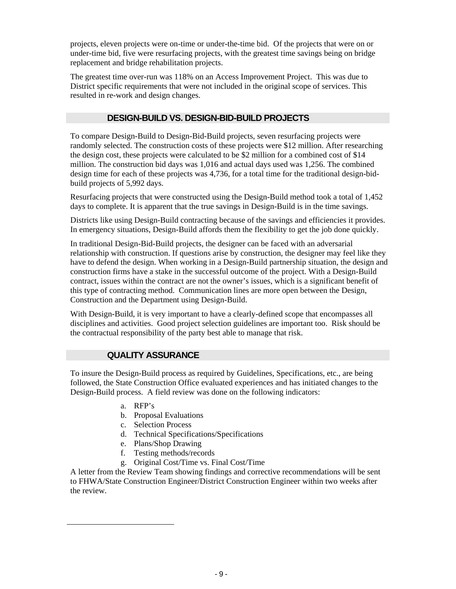projects, eleven projects were on-time or under-the-time bid. Of the projects that were on or under-time bid, five were resurfacing projects, with the greatest time savings being on bridge replacement and bridge rehabilitation projects.

The greatest time over-run was 118% on an Access Improvement Project. This was due to District specific requirements that were not included in the original scope of services. This resulted in re-work and design changes.

#### **DESIGN-BUILD VS. DESIGN-BID-BUILD PROJECTS**

To compare Design-Build to Design-Bid-Build projects, seven resurfacing projects were randomly selected. The construction costs of these projects were \$12 million. After researching the design cost, these projects were calculated to be \$2 million for a combined cost of \$14 million. The construction bid days was 1,016 and actual days used was 1,256. The combined design time for each of these projects was 4,736, for a total time for the traditional design-bidbuild projects of 5,992 days.

Resurfacing projects that were constructed using the Design-Build method took a total of 1,452 days to complete. It is apparent that the true savings in Design-Build is in the time savings.

Districts like using Design-Build contracting because of the savings and efficiencies it provides. In emergency situations, Design-Build affords them the flexibility to get the job done quickly.

In traditional Design-Bid-Build projects, the designer can be faced with an adversarial relationship with construction. If questions arise by construction, the designer may feel like they have to defend the design. When working in a Design-Build partnership situation, the design and construction firms have a stake in the successful outcome of the project. With a Design-Build contract, issues within the contract are not the owner's issues, which is a significant benefit of this type of contracting method. Communication lines are more open between the Design, Construction and the Department using Design-Build.

With Design-Build, it is very important to have a clearly-defined scope that encompasses all disciplines and activities. Good project selection guidelines are important too. Risk should be the contractual responsibility of the party best able to manage that risk.

#### **QUALITY ASSURANCE**

To insure the Design-Build process as required by Guidelines, Specifications, etc., are being followed, the State Construction Office evaluated experiences and has initiated changes to the Design-Build process. A field review was done on the following indicators:

a. RFP's

 $\overline{\phantom{a}}$ 

- b. Proposal Evaluations
- c. Selection Process
- d. Technical Specifications/Specifications
- e. Plans/Shop Drawing
- f. Testing methods/records
- g. Original Cost/Time vs. Final Cost/Time

A letter from the Review Team showing findings and corrective recommendations will be sent to FHWA/State Construction Engineer/District Construction Engineer within two weeks after the review.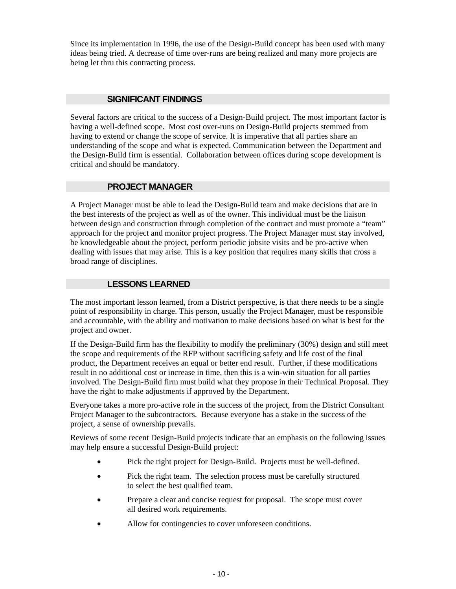Since its implementation in 1996, the use of the Design-Build concept has been used with many ideas being tried. A decrease of time over-runs are being realized and many more projects are being let thru this contracting process.

#### **SIGNIFICANT FINDINGS**

Several factors are critical to the success of a Design-Build project. The most important factor is having a well-defined scope. Most cost over-runs on Design-Build projects stemmed from having to extend or change the scope of service. It is imperative that all parties share an understanding of the scope and what is expected. Communication between the Department and the Design-Build firm is essential. Collaboration between offices during scope development is critical and should be mandatory.

#### **PROJECT MANAGER**

A Project Manager must be able to lead the Design-Build team and make decisions that are in the best interests of the project as well as of the owner. This individual must be the liaison between design and construction through completion of the contract and must promote a "team" approach for the project and monitor project progress. The Project Manager must stay involved, be knowledgeable about the project, perform periodic jobsite visits and be pro-active when dealing with issues that may arise. This is a key position that requires many skills that cross a broad range of disciplines.

#### **LESSONS LEARNED**

The most important lesson learned, from a District perspective, is that there needs to be a single point of responsibility in charge. This person, usually the Project Manager, must be responsible and accountable, with the ability and motivation to make decisions based on what is best for the project and owner.

If the Design-Build firm has the flexibility to modify the preliminary (30%) design and still meet the scope and requirements of the RFP without sacrificing safety and life cost of the final product, the Department receives an equal or better end result. Further, if these modifications result in no additional cost or increase in time, then this is a win-win situation for all parties involved. The Design-Build firm must build what they propose in their Technical Proposal. They have the right to make adjustments if approved by the Department.

Everyone takes a more pro-active role in the success of the project, from the District Consultant Project Manager to the subcontractors. Because everyone has a stake in the success of the project, a sense of ownership prevails.

Reviews of some recent Design-Build projects indicate that an emphasis on the following issues may help ensure a successful Design-Build project:

- Pick the right project for Design-Build. Projects must be well-defined.
- Pick the right team. The selection process must be carefully structured to select the best qualified team.
- Prepare a clear and concise request for proposal. The scope must cover all desired work requirements.
- Allow for contingencies to cover unforeseen conditions.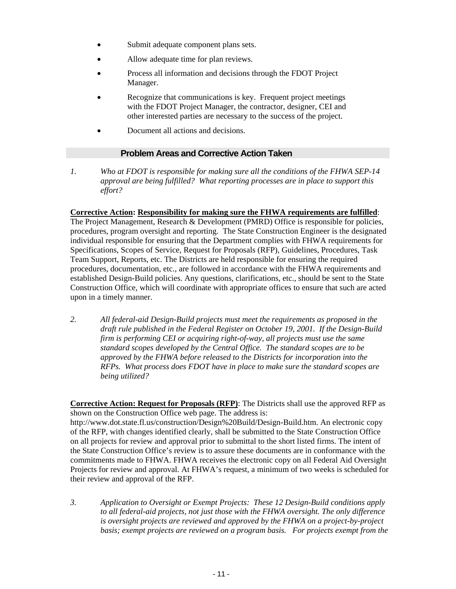- Submit adequate component plans sets.
- Allow adequate time for plan reviews.
- Process all information and decisions through the FDOT Project Manager.
- Recognize that communications is key. Frequent project meetings with the FDOT Project Manager, the contractor, designer, CEI and other interested parties are necessary to the success of the project.
- Document all actions and decisions.

#### **Problem Areas and Corrective Action Taken**

*1. Who at FDOT is responsible for making sure all the conditions of the FHWA SEP-14 approval are being fulfilled? What reporting processes are in place to support this effort?* 

#### **Corrective Action: Responsibility for making sure the FHWA requirements are fulfilled**:

The Project Management, Research & Development (PMRD) Office is responsible for policies, procedures, program oversight and reporting. The State Construction Engineer is the designated individual responsible for ensuring that the Department complies with FHWA requirements for Specifications, Scopes of Service, Request for Proposals (RFP), Guidelines, Procedures, Task Team Support, Reports, etc. The Districts are held responsible for ensuring the required procedures, documentation, etc., are followed in accordance with the FHWA requirements and established Design-Build policies. Any questions, clarifications, etc., should be sent to the State Construction Office, which will coordinate with appropriate offices to ensure that such are acted upon in a timely manner.

*2. All federal-aid Design-Build projects must meet the requirements as proposed in the draft rule published in the Federal Register on October 19, 2001. If the Design-Build firm is performing CEI or acquiring right-of-way, all projects must use the same standard scopes developed by the Central Office. The standard scopes are to be approved by the FHWA before released to the Districts for incorporation into the RFPs. What process does FDOT have in place to make sure the standard scopes are being utilized?* 

**Corrective Action: Request for Proposals (RFP)**: The Districts shall use the approved RFP as shown on the Construction Office web page. The address is:

http://www.dot.state.fl.us/construction/Design%20Build/Design-Build.htm. An electronic copy of the RFP, with changes identified clearly, shall be submitted to the State Construction Office on all projects for review and approval prior to submittal to the short listed firms. The intent of the State Construction Office's review is to assure these documents are in conformance with the commitments made to FHWA. FHWA receives the electronic copy on all Federal Aid Oversight Projects for review and approval. At FHWA's request, a minimum of two weeks is scheduled for their review and approval of the RFP.

*3. Application to Oversight or Exempt Projects: These 12 Design-Build conditions apply to all federal-aid projects, not just those with the FHWA oversight. The only difference is oversight projects are reviewed and approved by the FHWA on a project-by-project basis; exempt projects are reviewed on a program basis. For projects exempt from the*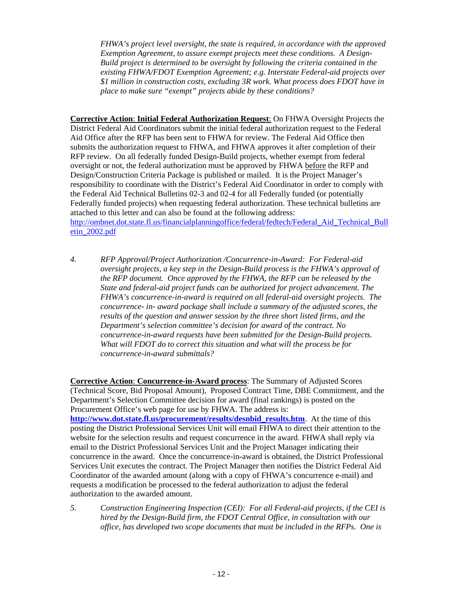*FHWA's project level oversight, the state is required, in accordance with the approved Exemption Agreement, to assure exempt projects meet these conditions. A Design-Build project is determined to be oversight by following the criteria contained in the existing FHWA/FDOT Exemption Agreement; e.g. Interstate Federal-aid projects over \$1 million in construction costs, excluding 3R work. What process does FDOT have in place to make sure "exempt" projects abide by these conditions?* 

**Corrective Action**: **Initial Federal Authorization Request**: On FHWA Oversight Projects the District Federal Aid Coordinators submit the initial federal authorization request to the Federal Aid Office after the RFP has been sent to FHWA for review. The Federal Aid Office then submits the authorization request to FHWA, and FHWA approves it after completion of their RFP review. On all federally funded Design-Build projects, whether exempt from federal oversight or not, the federal authorization must be approved by FHWA before the RFP and Design/Construction Criteria Package is published or mailed. It is the Project Manager's responsibility to coordinate with the District's Federal Aid Coordinator in order to comply with the Federal Aid Technical Bulletins 02-3 and 02-4 for all Federally funded (or potentially Federally funded projects) when requesting federal authorization. These technical bulletins are attached to this letter and can also be found at the following address: http://ombnet.dot.state.fl.us/financialplanningoffice/federal/fedtech/Federal\_Aid\_Technical\_Bull\_ etin\_2002.pdf

*4. RFP Approval/Project Authorization /Concurrence-in-Award: For Federal-aid oversight projects, a key step in the Design-Build process is the FHWA's approval of the RFP document. Once approved by the FHWA, the RFP can be released by the State and federal-aid project funds can be authorized for project advancement. The FHWA's concurrence-in-award is required on all federal-aid oversight projects. The concurrence- in- award package shall include a summary of the adjusted scores, the results of the question and answer session by the three short listed firms, and the Department's selection committee's decision for award of the contract. No concurrence-in-award requests have been submitted for the Design-Build projects. What will FDOT do to correct this situation and what will the process be for concurrence-in-award submittals?* 

**Corrective Action**: **Concurrence-in-Award process**: The Summary of Adjusted Scores (Technical Score, Bid Proposal Amount), Proposed Contract Time, DBE Commitment, and the Department's Selection Committee decision for award (final rankings) is posted on the Procurement Office's web page for use by FHWA. The address is: **http://www.dot.state.fl.us/procurement/results/desnbid\_results.htm**. At the time of this posting the District Professional Services Unit will email FHWA to direct their attention to the website for the selection results and request concurrence in the award. FHWA shall reply via email to the District Professional Services Unit and the Project Manager indicating their concurrence in the award. Once the concurrence-in-award is obtained, the District Professional Services Unit executes the contract. The Project Manager then notifies the District Federal Aid Coordinator of the awarded amount (along with a copy of FHWA's concurrence e-mail) and requests a modification be processed to the federal authorization to adjust the federal authorization to the awarded amount.

*5. Construction Engineering Inspection (CEI): For all Federal-aid projects, if the CEI is hired by the Design-Build firm, the FDOT Central Office, in consultation with our office, has developed two scope documents that must be included in the RFPs. One is*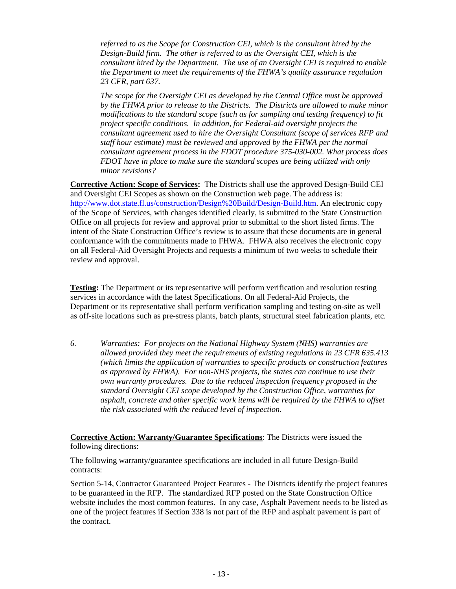*referred to as the Scope for Construction CEI, which is the consultant hired by the Design-Build firm. The other is referred to as the Oversight CEI, which is the consultant hired by the Department. The use of an Oversight CEI is required to enable the Department to meet the requirements of the FHWA's quality assurance regulation 23 CFR, part 637.* 

 *The scope for the Oversight CEI as developed by the Central Office must be approved by the FHWA prior to release to the Districts. The Districts are allowed to make minor modifications to the standard scope (such as for sampling and testing frequency) to fit project specific conditions. In addition, for Federal-aid oversight projects the consultant agreement used to hire the Oversight Consultant (scope of services RFP and staff hour estimate) must be reviewed and approved by the FHWA per the normal consultant agreement process in the FDOT procedure 375-030-002. What process does FDOT have in place to make sure the standard scopes are being utilized with only minor revisions?* 

**Corrective Action: Scope of Services:** The Districts shall use the approved Design-Build CEI and Oversight CEI Scopes as shown on the Construction web page. The address is: http://www.dot.state.fl.us/construction/Design%20Build/Design-Build.htm. An electronic copy of the Scope of Services, with changes identified clearly, is submitted to the State Construction Office on all projects for review and approval prior to submittal to the short listed firms. The intent of the State Construction Office's review is to assure that these documents are in general conformance with the commitments made to FHWA. FHWA also receives the electronic copy on all Federal-Aid Oversight Projects and requests a minimum of two weeks to schedule their review and approval.

**Testing:** The Department or its representative will perform verification and resolution testing services in accordance with the latest Specifications. On all Federal-Aid Projects, the Department or its representative shall perform verification sampling and testing on-site as well as off-site locations such as pre-stress plants, batch plants, structural steel fabrication plants, etc.

*6. Warranties: For projects on the National Highway System (NHS) warranties are allowed provided they meet the requirements of existing regulations in 23 CFR 635.413 (which limits the application of warranties to specific products or construction features as approved by FHWA). For non-NHS projects, the states can continue to use their own warranty procedures. Due to the reduced inspection frequency proposed in the standard Oversight CEI scope developed by the Construction Office, warranties for asphalt, concrete and other specific work items will be required by the FHWA to offset the risk associated with the reduced level of inspection.* 

**Corrective Action: Warranty/Guarantee Specifications**: The Districts were issued the following directions:

The following warranty/guarantee specifications are included in all future Design-Build contracts:

Section 5-14, Contractor Guaranteed Project Features - The Districts identify the project features to be guaranteed in the RFP. The standardized RFP posted on the State Construction Office website includes the most common features. In any case, Asphalt Pavement needs to be listed as one of the project features if Section 338 is not part of the RFP and asphalt pavement is part of the contract.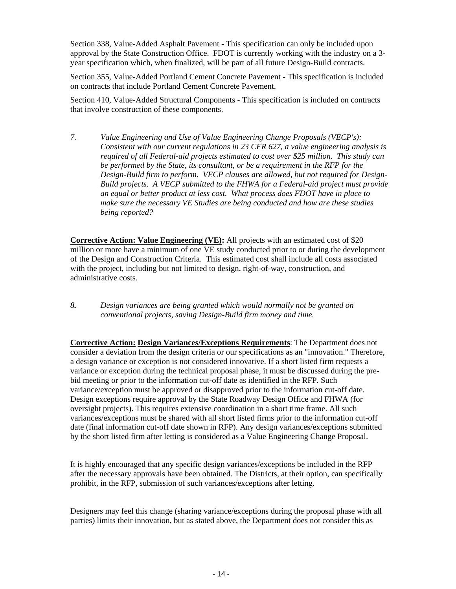Section 338, Value-Added Asphalt Pavement - This specification can only be included upon approval by the State Construction Office. FDOT is currently working with the industry on a 3 year specification which, when finalized, will be part of all future Design-Build contracts.

Section 355, Value-Added Portland Cement Concrete Pavement - This specification is included on contracts that include Portland Cement Concrete Pavement.

Section 410, Value-Added Structural Components - This specification is included on contracts that involve construction of these components.

*7. Value Engineering and Use of Value Engineering Change Proposals (VECP's): Consistent with our current regulations in 23 CFR 627, a value engineering analysis is required of all Federal-aid projects estimated to cost over \$25 million. This study can be performed by the State, its consultant, or be a requirement in the RFP for the Design-Build firm to perform. VECP clauses are allowed, but not required for Design-Build projects. A VECP submitted to the FHWA for a Federal-aid project must provide an equal or better product at less cost. What process does FDOT have in place to make sure the necessary VE Studies are being conducted and how are these studies being reported?* 

**Corrective Action: Value Engineering (VE):** All projects with an estimated cost of \$20 million or more have a minimum of one VE study conducted prior to or during the development of the Design and Construction Criteria. This estimated cost shall include all costs associated with the project, including but not limited to design, right-of-way, construction, and administrative costs.

*8. Design variances are being granted which would normally not be granted on conventional projects, saving Design-Build firm money and time.* 

**Corrective Action: Design Variances/Exceptions Requirements**: The Department does not consider a deviation from the design criteria or our specifications as an "innovation." Therefore, a design variance or exception is not considered innovative. If a short listed firm requests a variance or exception during the technical proposal phase, it must be discussed during the prebid meeting or prior to the information cut-off date as identified in the RFP. Such variance/exception must be approved or disapproved prior to the information cut-off date. Design exceptions require approval by the State Roadway Design Office and FHWA (for oversight projects). This requires extensive coordination in a short time frame. All such variances/exceptions must be shared with all short listed firms prior to the information cut-off date (final information cut-off date shown in RFP). Any design variances/exceptions submitted by the short listed firm after letting is considered as a Value Engineering Change Proposal.

It is highly encouraged that any specific design variances/exceptions be included in the RFP after the necessary approvals have been obtained. The Districts, at their option, can specifically prohibit, in the RFP, submission of such variances/exceptions after letting.

Designers may feel this change (sharing variance/exceptions during the proposal phase with all parties) limits their innovation, but as stated above, the Department does not consider this as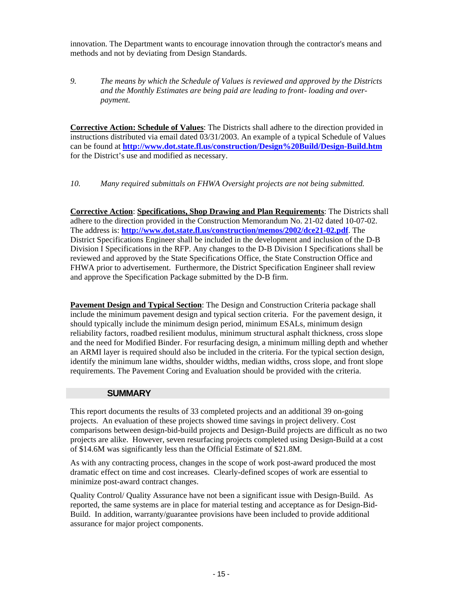innovation. The Department wants to encourage innovation through the contractor's means and methods and not by deviating from Design Standards.

*9. The means by which the Schedule of Values is reviewed and approved by the Districts and the Monthly Estimates are being paid are leading to front- loading and overpayment.* 

**Corrective Action: Schedule of Values**: The Districts shall adhere to the direction provided in instructions distributed via email dated 03/31/2003. An example of a typical Schedule of Values can be found at **http://www.dot.state.fl.us/construction/Design%20Build/Design-Build.htm** for the District's use and modified as necessary.

*10. Many required submittals on FHWA Oversight projects are not being submitted.* 

**Corrective Action**: **Specifications, Shop Drawing and Plan Requirements**: The Districts shall adhere to the direction provided in the Construction Memorandum No. 21-02 dated 10-07-02. The address is: **http://www.dot.state.fl.us/construction/memos/2002/dce21-02.pdf**. The District Specifications Engineer shall be included in the development and inclusion of the D-B Division I Specifications in the RFP. Any changes to the D-B Division I Specifications shall be reviewed and approved by the State Specifications Office, the State Construction Office and FHWA prior to advertisement. Furthermore, the District Specification Engineer shall review and approve the Specification Package submitted by the D-B firm.

**Pavement Design and Typical Section**: The Design and Construction Criteria package shall include the minimum pavement design and typical section criteria. For the pavement design, it should typically include the minimum design period, minimum ESALs, minimum design reliability factors, roadbed resilient modulus, minimum structural asphalt thickness, cross slope and the need for Modified Binder. For resurfacing design, a minimum milling depth and whether an ARMI layer is required should also be included in the criteria. For the typical section design, identify the minimum lane widths, shoulder widths, median widths, cross slope, and front slope requirements. The Pavement Coring and Evaluation should be provided with the criteria.

#### **SUMMARY**

This report documents the results of 33 completed projects and an additional 39 on-going projects. An evaluation of these projects showed time savings in project delivery. Cost comparisons between design-bid-build projects and Design-Build projects are difficult as no two projects are alike. However, seven resurfacing projects completed using Design-Build at a cost of \$14.6M was significantly less than the Official Estimate of \$21.8M.

As with any contracting process, changes in the scope of work post-award produced the most dramatic effect on time and cost increases. Clearly-defined scopes of work are essential to minimize post-award contract changes.

Quality Control/ Quality Assurance have not been a significant issue with Design-Build. As reported, the same systems are in place for material testing and acceptance as for Design-Bid-Build. In addition, warranty/guarantee provisions have been included to provide additional assurance for major project components.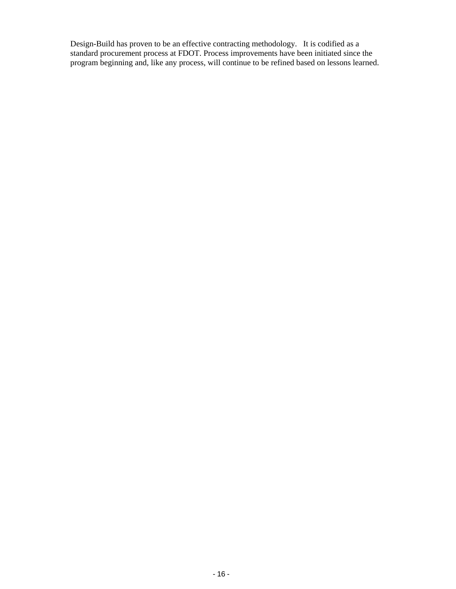Design-Build has proven to be an effective contracting methodology. It is codified as a standard procurement process at FDOT. Process improvements have been initiated since the program beginning and, like any process, will continue to be refined based on lessons learned.